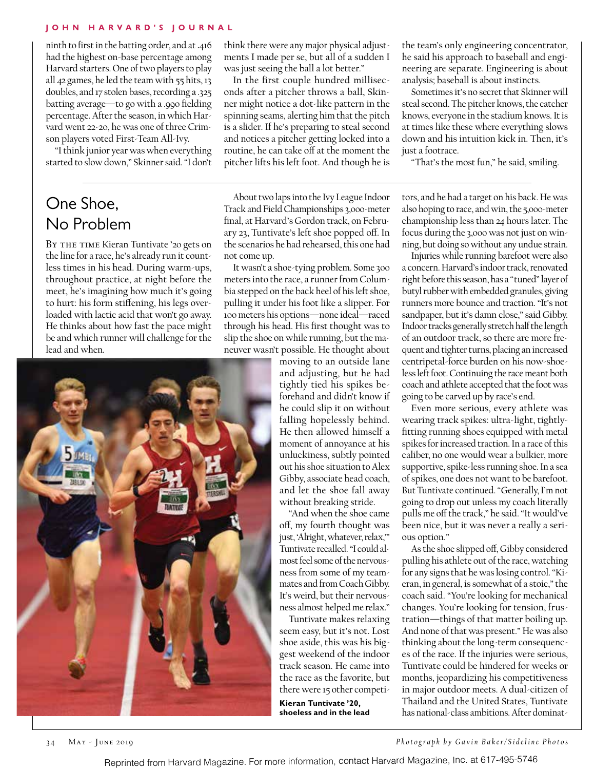## **John H arvard's Journal**

ninth to first in the batting order, and at **.**416 had the highest on-base percentage among Harvard starters. One of two players to play all 42 games, he led the team with 55 hits, 13 doubles, and 17 stolen bases, recording a .325 batting average—to go with a .990 fielding percentage. After the season, in which Harvard went 22-20, he was one of three Crimson players voted First-Team All-Ivy.

"I think junior year was when everything started to slow down," Skinner said. "I don't

## One Shoe, No Problem

BY THE TIME Kieran Tuntivate '20 gets on the line for a race, he's already run it countless times in his head. During warm-ups, throughout practice, at night before the meet, he's imagining how much it's going to hurt: his form stiffening, his legs overloaded with lactic acid that won't go away. He thinks about how fast the pace might be and which runner will challenge for the lead and when.



think there were any major physical adjustments I made per se, but all of a sudden I was just seeing the ball a lot better."

In the first couple hundred milliseconds after a pitcher throws a ball, Skinner might notice a dot-like pattern in the spinning seams, alerting him that the pitch is a slider. If he's preparing to steal second and notices a pitcher getting locked into a routine, he can take off at the moment the pitcher lifts his left foot. And though he is

About two laps into the Ivy League Indoor Track and Field Championships 3,000-meter final, at Harvard's Gordon track, on February 23, Tuntivate's left shoe popped off. In the scenarios he had rehearsed, this one had not come up.

It wasn't a shoe-tying problem. Some 300 meters into the race, a runner from Columbia stepped on the back heel of his left shoe, pulling it under his foot like a slipper. For 100 meters his options—none ideal—raced through his head. His first thought was to slip the shoe on while running, but the maneuver wasn't possible. He thought about

moving to an outside lane and adjusting, but he had tightly tied his spikes beforehand and didn't know if he could slip it on without falling hopelessly behind. He then allowed himself a moment of annoyance at his unluckiness, subtly pointed out his shoe situation to Alex Gibby, associate head coach, and let the shoe fall away without breaking stride.

"And when the shoe came off, my fourth thought was just, 'Alright, whatever, relax,'" Tuntivate recalled. "I could almost feel some of the nervousness from some of my teammates and from Coach Gibby. It's weird, but their nervousness almost helped me relax."

Tuntivate makes relaxing seem easy, but it's not. Lost shoe aside, this was his biggest weekend of the indoor track season. He came into the race as the favorite, but there were 15 other competi-

**Kieran Tuntivate '20, shoeless and in the lead** the team's only engineering concentrator, he said his approach to baseball and engineering are separate. Engineering is about analysis; baseball is about instincts.

Sometimes it's no secret that Skinner will steal second. The pitcher knows, the catcher knows, everyone in the stadium knows. It is at times like these where everything slows down and his intuition kick in. Then, it's just a footrace.

"That's the most fun," he said, smiling.

tors, and he had a target on his back. He was also hoping to race, and win, the 5,000-meter championship less than 24 hours later. The focus during the 3,000 was not just on winning, but doing so without any undue strain.

Injuries while running barefoot were also a concern. Harvard's indoor track, renovated right before this season, has a "tuned" layer of butyl rubber with embedded granules, giving runners more bounce and traction. "It's not sandpaper, but it's damn close," said Gibby. Indoor tracks generally stretch half the length of an outdoor track, so there are more frequent and tighter turns, placing an increased centripetal-force burden on his now-shoeless left foot. Continuing the race meant both coach and athlete accepted that the foot was going to be carved up by race's end.

Even more serious, every athlete was wearing track spikes: ultra-light, tightlyfitting running shoes equipped with metal spikes for increased traction. In a race of this caliber, no one would wear a bulkier, more supportive, spike-less running shoe. In a sea of spikes, one does not want to be barefoot. But Tuntivate continued. "Generally, I'm not going to drop out unless my coach literally pulls me off the track," he said. "It would've been nice, but it was never a really a serious option."

As the shoe slipped off, Gibby considered pulling his athlete out of the race, watching for any signs that he was losing control. "Kieran, in general, is somewhat of a stoic," the coach said. "You're looking for mechanical changes. You're looking for tension, frustration—things of that matter boiling up. And none of that was present." He was also thinking about the long-term consequences of the race. If the injuries were serious, Tuntivate could be hindered for weeks or months, jeopardizing his competitiveness in major outdoor meets. A dual-citizen of Thailand and the United States, Tuntivate has national-class ambitions. After dominat-

34 May - June 2019